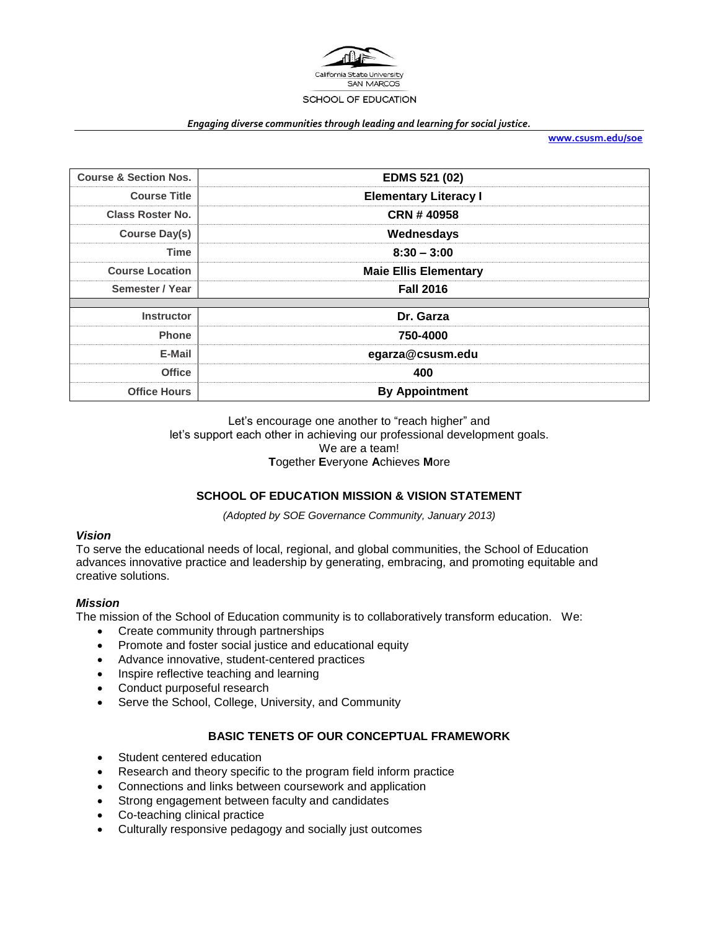

#### *Engaging diverse communities through leading and learning for social justice.*

**[www.csusm.edu/soe](http://www.csusm.edu/soe)**

| <b>Course &amp; Section Nos.</b> | <b>EDMS 521 (02)</b>         |  |
|----------------------------------|------------------------------|--|
| <b>Course Title</b>              | <b>Elementary Literacy I</b> |  |
| <b>Class Roster No.</b>          | CRN #40958                   |  |
| <b>Course Day(s)</b>             | Wednesdays                   |  |
| Time                             | $8:30 - 3:00$                |  |
| <b>Course Location</b>           | <b>Maie Ellis Elementary</b> |  |
| Semester / Year                  | <b>Fall 2016</b>             |  |
|                                  |                              |  |
| <b>Instructor</b>                | Dr. Garza                    |  |
| <b>Phone</b>                     | 750-4000                     |  |
| E-Mail                           | egarza@csusm.edu             |  |
| <b>Office</b>                    | 400                          |  |
| <b>Office Hours</b>              | <b>By Appointment</b>        |  |

Let's encourage one another to "reach higher" and let's support each other in achieving our professional development goals. We are a team! **T**ogether **E**veryone **A**chieves **M**ore

#### **SCHOOL OF EDUCATION MISSION & VISION STATEMENT**

*(Adopted by SOE Governance Community, January 2013)*

#### *Vision*

To serve the educational needs of local, regional, and global communities, the School of Education advances innovative practice and leadership by generating, embracing, and promoting equitable and creative solutions.

#### *Mission*

The mission of the School of Education community is to collaboratively transform education. We:

- Create community through partnerships
- Promote and foster social justice and educational equity
- Advance innovative, student-centered practices
- Inspire reflective teaching and learning
- Conduct purposeful research
- Serve the School, College, University, and Community

#### **BASIC TENETS OF OUR CONCEPTUAL FRAMEWORK**

- Student centered education
- Research and theory specific to the program field inform practice
- Connections and links between coursework and application
- Strong engagement between faculty and candidates
- Co-teaching clinical practice
- Culturally responsive pedagogy and socially just outcomes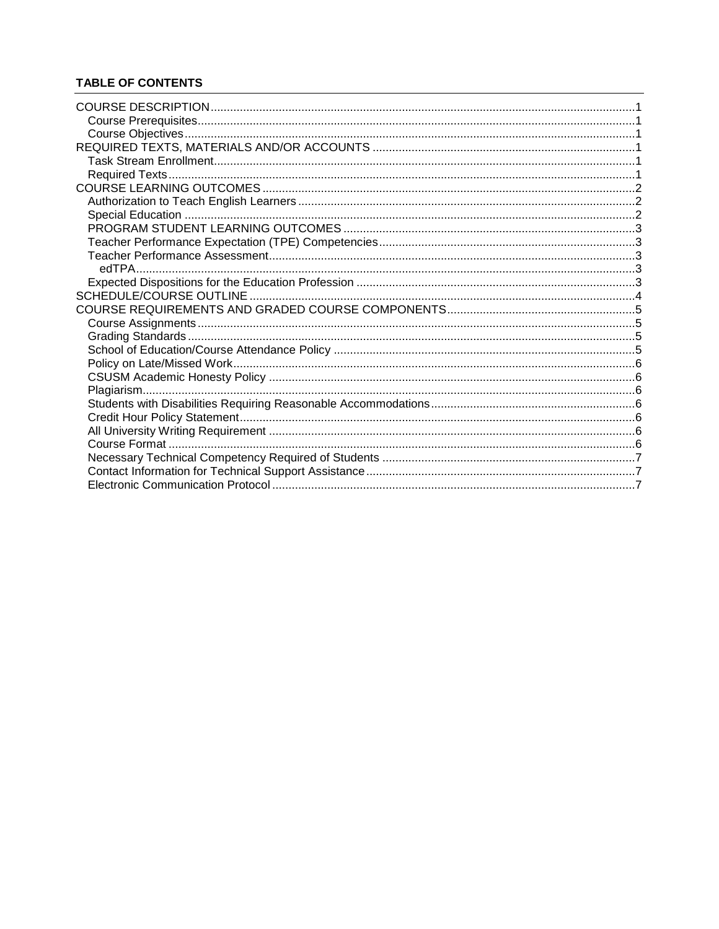# **TABLE OF CONTENTS**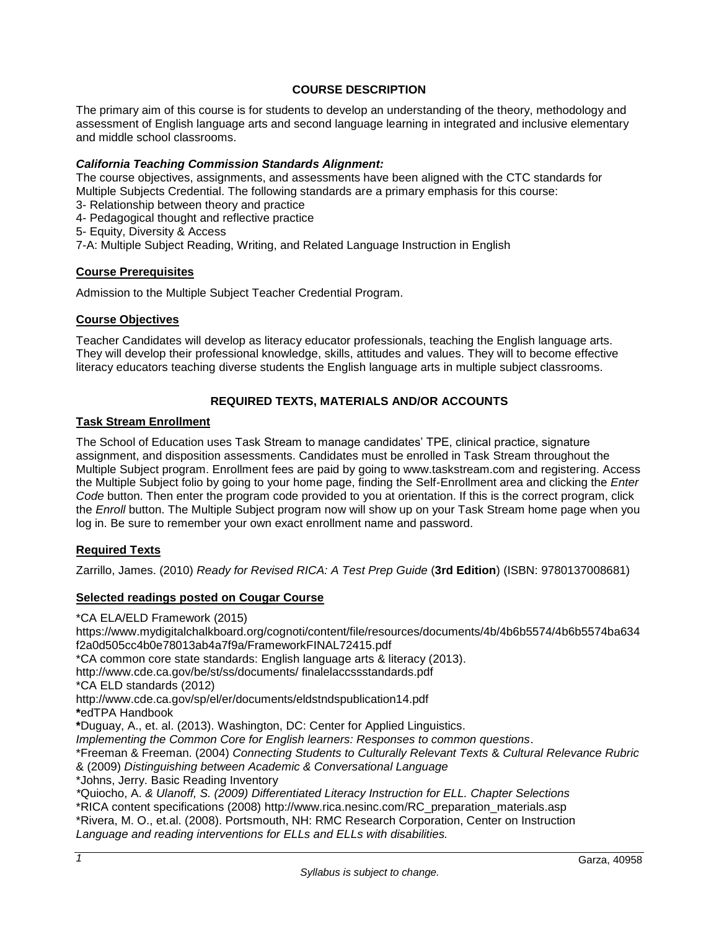# **COURSE DESCRIPTION**

<span id="page-2-0"></span>The primary aim of this course is for students to develop an understanding of the theory, methodology and assessment of English language arts and second language learning in integrated and inclusive elementary and middle school classrooms.

# *California Teaching Commission Standards Alignment:*

The course objectives, assignments, and assessments have been aligned with the CTC standards for Multiple Subjects Credential. The following standards are a primary emphasis for this course:

- 3- Relationship between theory and practice
- 4- Pedagogical thought and reflective practice
- 5- Equity, Diversity & Access

7-A: Multiple Subject Reading, Writing, and Related Language Instruction in English

#### <span id="page-2-1"></span>**Course Prerequisites**

Admission to the Multiple Subject Teacher Credential Program.

### <span id="page-2-2"></span>**Course Objectives**

Teacher Candidates will develop as literacy educator professionals, teaching the English language arts. They will develop their professional knowledge, skills, attitudes and values. They will to become effective literacy educators teaching diverse students the English language arts in multiple subject classrooms.

# **REQUIRED TEXTS, MATERIALS AND/OR ACCOUNTS**

### <span id="page-2-4"></span><span id="page-2-3"></span>**Task Stream Enrollment**

The School of Education uses Task Stream to manage candidates' TPE, clinical practice, signature assignment, and disposition assessments. Candidates must be enrolled in Task Stream throughout the Multiple Subject program. Enrollment fees are paid by going to www.taskstream.com and registering. Access the Multiple Subject folio by going to your home page, finding the Self-Enrollment area and clicking the *Enter Code* button. Then enter the program code provided to you at orientation. If this is the correct program, click the *Enroll* button. The Multiple Subject program now will show up on your Task Stream home page when you log in. Be sure to remember your own exact enrollment name and password.

# <span id="page-2-5"></span>**Required Texts**

Zarrillo, James. (2010) *Ready for Revised RICA: A Test Prep Guide* (**3rd Edition**) (ISBN: 9780137008681)

# **Selected readings posted on Cougar Course**

\*CA ELA/ELD Framework (2015)

https://www.mydigitalchalkboard.org/cognoti/content/file/resources/documents/4b/4b6b5574/4b6b5574ba634 f2a0d505cc4b0e78013ab4a7f9a/FrameworkFINAL72415.pdf

\*CA common core state standards: English language arts & literacy (2013).

http://www.cde.ca.gov/be/st/ss/documents/ finalelaccssstandards.pdf

\*CA ELD standards (2012)

http://www.cde.ca.gov/sp/el/er/documents/eldstndspublication14.pdf

**\***edTPA Handbook

**\***Duguay, A., et. al. (2013). Washington, DC: Center for Applied Linguistics.

*Implementing the Common Core for English learners: Responses to common questions*.

\*Freeman & Freeman. (2004) *Connecting Students to Culturally Relevant Texts* & *Cultural Relevance Rubric* & (2009) *Distinguishing between Academic & Conversational Language*

\*Johns, Jerry. Basic Reading Inventory

*\**Quiocho, A. *& Ulanoff, S. (2009) Differentiated Literacy Instruction for ELL. Chapter Selections*  \*RICA content specifications (2008) http://www.rica.nesinc.com/RC\_preparation\_materials.asp \*Rivera, M. O., et.al. (2008). Portsmouth, NH: RMC Research Corporation, Center on Instruction *Language and reading interventions for ELLs and ELLs with disabilities.*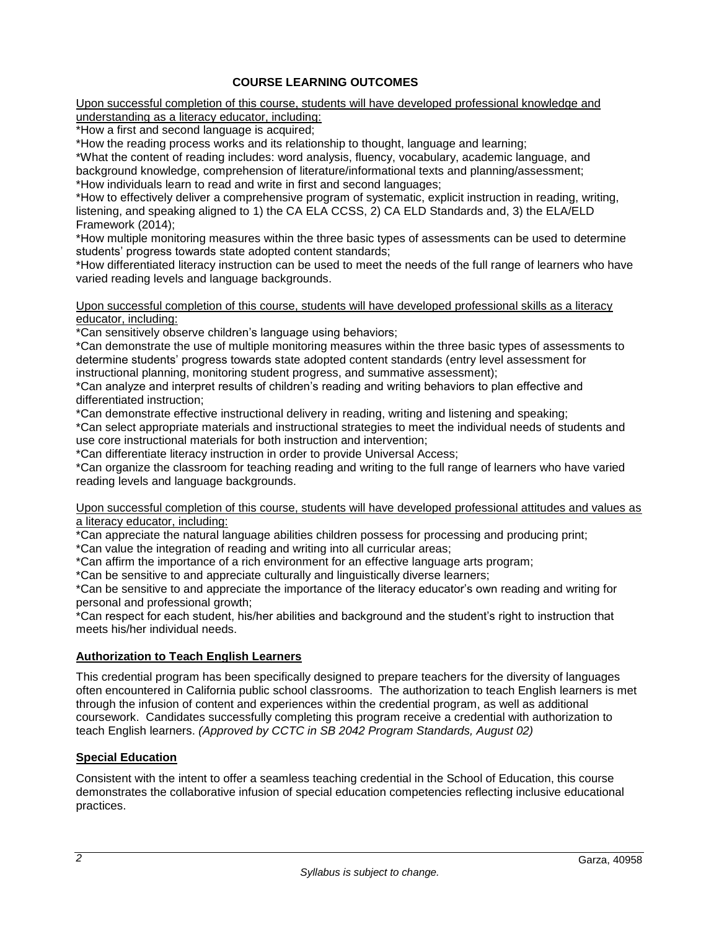# **COURSE LEARNING OUTCOMES**

<span id="page-3-0"></span>Upon successful completion of this course, students will have developed professional knowledge and understanding as a literacy educator, including:

\*How a first and second language is acquired;

\*How the reading process works and its relationship to thought, language and learning;

\*What the content of reading includes: word analysis, fluency, vocabulary, academic language, and background knowledge, comprehension of literature/informational texts and planning/assessment; \*How individuals learn to read and write in first and second languages;

\*How to effectively deliver a comprehensive program of systematic, explicit instruction in reading, writing, listening, and speaking aligned to 1) the CA ELA CCSS, 2) CA ELD Standards and, 3) the ELA/ELD Framework (2014);

\*How multiple monitoring measures within the three basic types of assessments can be used to determine students' progress towards state adopted content standards;

\*How differentiated literacy instruction can be used to meet the needs of the full range of learners who have varied reading levels and language backgrounds.

Upon successful completion of this course, students will have developed professional skills as a literacy educator, including:

\*Can sensitively observe children's language using behaviors;

\*Can demonstrate the use of multiple monitoring measures within the three basic types of assessments to determine students' progress towards state adopted content standards (entry level assessment for instructional planning, monitoring student progress, and summative assessment);

\*Can analyze and interpret results of children's reading and writing behaviors to plan effective and differentiated instruction;

\*Can demonstrate effective instructional delivery in reading, writing and listening and speaking;

\*Can select appropriate materials and instructional strategies to meet the individual needs of students and use core instructional materials for both instruction and intervention;

\*Can differentiate literacy instruction in order to provide Universal Access;

\*Can organize the classroom for teaching reading and writing to the full range of learners who have varied reading levels and language backgrounds.

#### Upon successful completion of this course, students will have developed professional attitudes and values as a literacy educator, including:

\*Can appreciate the natural language abilities children possess for processing and producing print;

\*Can value the integration of reading and writing into all curricular areas;

\*Can affirm the importance of a rich environment for an effective language arts program;

\*Can be sensitive to and appreciate culturally and linguistically diverse learners;

\*Can be sensitive to and appreciate the importance of the literacy educator's own reading and writing for personal and professional growth;

\*Can respect for each student, his/her abilities and background and the student's right to instruction that meets his/her individual needs.

# <span id="page-3-1"></span>**Authorization to Teach English Learners**

This credential program has been specifically designed to prepare teachers for the diversity of languages often encountered in California public school classrooms. The authorization to teach English learners is met through the infusion of content and experiences within the credential program, as well as additional coursework. Candidates successfully completing this program receive a credential with authorization to teach English learners. *(Approved by CCTC in SB 2042 Program Standards, August 02)*

# <span id="page-3-2"></span>**Special Education**

Consistent with the intent to offer a seamless teaching credential in the School of Education, this course demonstrates the collaborative infusion of special education competencies reflecting inclusive educational practices.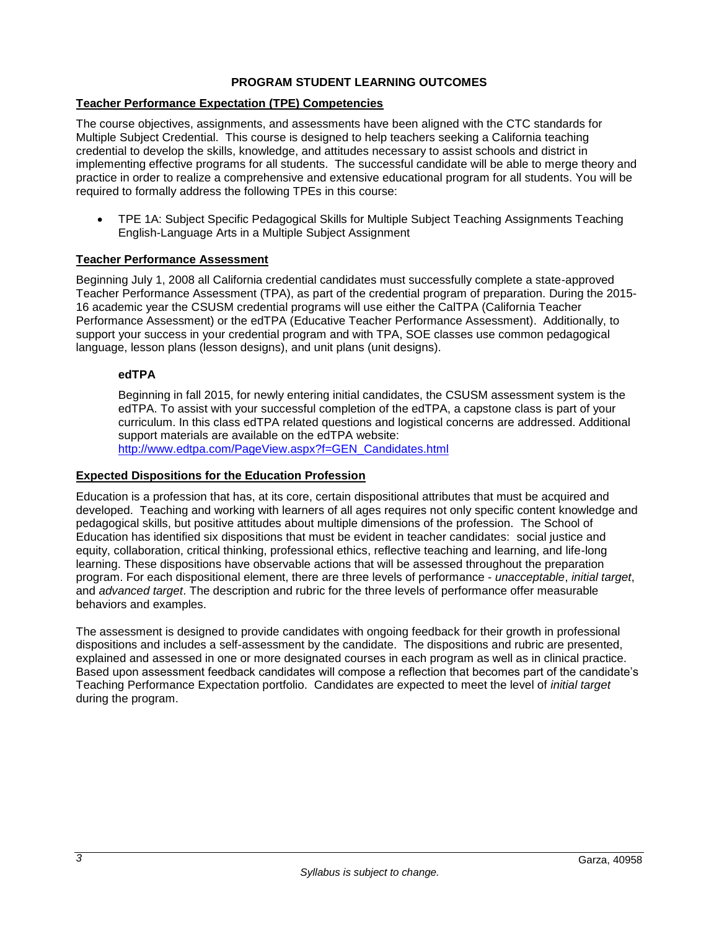# **PROGRAM STUDENT LEARNING OUTCOMES**

# <span id="page-4-1"></span><span id="page-4-0"></span>**Teacher Performance Expectation (TPE) Competencies**

The course objectives, assignments, and assessments have been aligned with the CTC standards for Multiple Subject Credential. This course is designed to help teachers seeking a California teaching credential to develop the skills, knowledge, and attitudes necessary to assist schools and district in implementing effective programs for all students. The successful candidate will be able to merge theory and practice in order to realize a comprehensive and extensive educational program for all students. You will be required to formally address the following TPEs in this course:

 TPE 1A: Subject Specific Pedagogical Skills for Multiple Subject Teaching Assignments Teaching English-Language Arts in a Multiple Subject Assignment

### <span id="page-4-2"></span>**Teacher Performance Assessment**

Beginning July 1, 2008 all California credential candidates must successfully complete a state-approved Teacher Performance Assessment (TPA), as part of the credential program of preparation. During the 2015- 16 academic year the CSUSM credential programs will use either the CalTPA (California Teacher Performance Assessment) or the edTPA (Educative Teacher Performance Assessment). Additionally, to support your success in your credential program and with TPA, SOE classes use common pedagogical language, lesson plans (lesson designs), and unit plans (unit designs).

### <span id="page-4-3"></span>**edTPA**

Beginning in fall 2015, for newly entering initial candidates, the CSUSM assessment system is the edTPA. To assist with your successful completion of the edTPA, a capstone class is part of your curriculum. In this class edTPA related questions and logistical concerns are addressed. Additional support materials are available on the edTPA website: [http://www.edtpa.com/PageView.aspx?f=GEN\\_Candidates.html](http://www.edtpa.com/PageView.aspx?f=GEN_Candidates.html)

#### <span id="page-4-4"></span>**Expected Dispositions for the Education Profession**

Education is a profession that has, at its core, certain dispositional attributes that must be acquired and developed. Teaching and working with learners of all ages requires not only specific content knowledge and pedagogical skills, but positive attitudes about multiple dimensions of the profession. The School of Education has identified six dispositions that must be evident in teacher candidates: social justice and equity, collaboration, critical thinking, professional ethics, reflective teaching and learning, and life-long learning. These dispositions have observable actions that will be assessed throughout the preparation program. For each dispositional element, there are three levels of performance - *unacceptable*, *initial target*, and *advanced target*. The description and rubric for the three levels of performance offer measurable behaviors and examples.

The assessment is designed to provide candidates with ongoing feedback for their growth in professional dispositions and includes a self-assessment by the candidate. The dispositions and rubric are presented, explained and assessed in one or more designated courses in each program as well as in clinical practice. Based upon assessment feedback candidates will compose a reflection that becomes part of the candidate's Teaching Performance Expectation portfolio. Candidates are expected to meet the level of *initial target* during the program.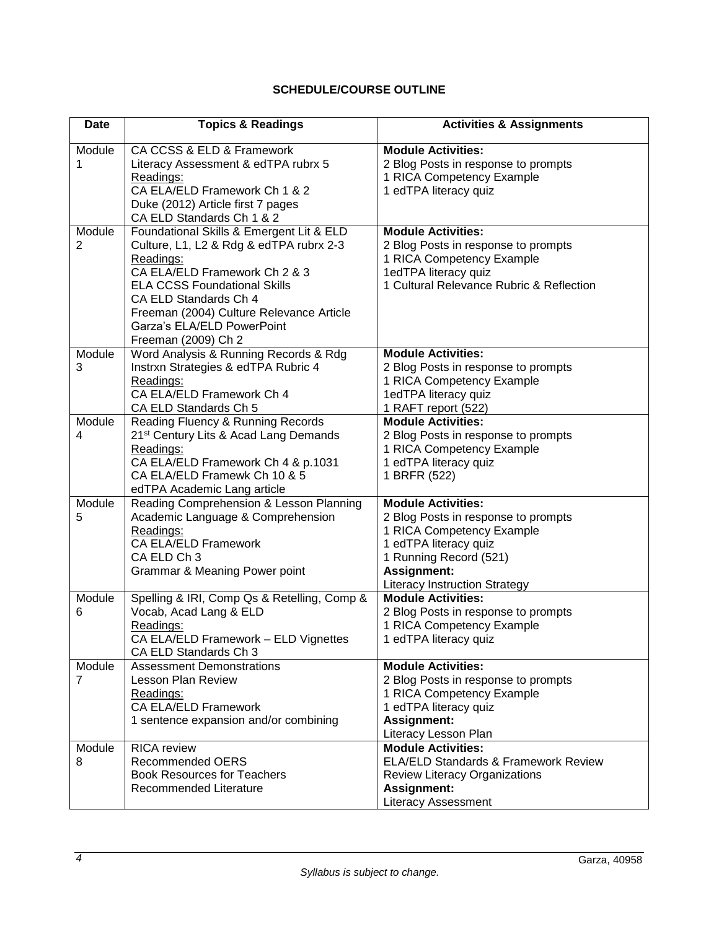# **SCHEDULE/COURSE OUTLINE**

<span id="page-5-0"></span>

| Date        | <b>Topics &amp; Readings</b>                                                                                                                                                                                                                                                                       | <b>Activities &amp; Assignments</b>                                                                                                                                                                     |
|-------------|----------------------------------------------------------------------------------------------------------------------------------------------------------------------------------------------------------------------------------------------------------------------------------------------------|---------------------------------------------------------------------------------------------------------------------------------------------------------------------------------------------------------|
| Module<br>1 | CA CCSS & ELD & Framework<br>Literacy Assessment & edTPA rubrx 5<br>Readings:<br>CA ELA/ELD Framework Ch 1 & 2                                                                                                                                                                                     | <b>Module Activities:</b><br>2 Blog Posts in response to prompts<br>1 RICA Competency Example<br>1 edTPA literacy quiz                                                                                  |
|             | Duke (2012) Article first 7 pages<br>CA ELD Standards Ch 1 & 2                                                                                                                                                                                                                                     |                                                                                                                                                                                                         |
| Module<br>2 | Foundational Skills & Emergent Lit & ELD<br>Culture, L1, L2 & Rdg & edTPA rubrx 2-3<br>Readings:<br>CA ELA/ELD Framework Ch 2 & 3<br><b>ELA CCSS Foundational Skills</b><br>CA ELD Standards Ch 4<br>Freeman (2004) Culture Relevance Article<br>Garza's ELA/ELD PowerPoint<br>Freeman (2009) Ch 2 | <b>Module Activities:</b><br>2 Blog Posts in response to prompts<br>1 RICA Competency Example<br>1edTPA literacy quiz<br>1 Cultural Relevance Rubric & Reflection                                       |
| Module<br>3 | Word Analysis & Running Records & Rdg<br>Instrxn Strategies & edTPA Rubric 4<br>Readings:<br>CA ELA/ELD Framework Ch 4<br>CA ELD Standards Ch 5                                                                                                                                                    | <b>Module Activities:</b><br>2 Blog Posts in response to prompts<br>1 RICA Competency Example<br>1edTPA literacy quiz<br>1 RAFT report (522)                                                            |
| Module<br>4 | Reading Fluency & Running Records<br>21 <sup>st</sup> Century Lits & Acad Lang Demands<br>Readings:<br>CA ELA/ELD Framework Ch 4 & p.1031<br>CA ELA/ELD Framewk Ch 10 & 5<br>edTPA Academic Lang article                                                                                           | <b>Module Activities:</b><br>2 Blog Posts in response to prompts<br>1 RICA Competency Example<br>1 edTPA literacy quiz<br>1 BRFR (522)                                                                  |
| Module<br>5 | Reading Comprehension & Lesson Planning<br>Academic Language & Comprehension<br>Readings:<br><b>CA ELA/ELD Framework</b><br>CA ELD Ch 3<br>Grammar & Meaning Power point                                                                                                                           | <b>Module Activities:</b><br>2 Blog Posts in response to prompts<br>1 RICA Competency Example<br>1 edTPA literacy quiz<br>1 Running Record (521)<br>Assignment:<br><b>Literacy Instruction Strategy</b> |
| Module<br>6 | Spelling & IRI, Comp Qs & Retelling, Comp &<br>Vocab, Acad Lang & ELD<br>Readings:<br>CA ELA/ELD Framework - ELD Vignettes<br>CA ELD Standards Ch 3                                                                                                                                                | <b>Module Activities:</b><br>2 Blog Posts in response to prompts<br>1 RICA Competency Example<br>1 edTPA literacy quiz                                                                                  |
| Module<br>7 | <b>Assessment Demonstrations</b><br><b>Lesson Plan Review</b><br>Readings:<br><b>CA ELA/ELD Framework</b><br>1 sentence expansion and/or combining                                                                                                                                                 | <b>Module Activities:</b><br>2 Blog Posts in response to prompts<br>1 RICA Competency Example<br>1 edTPA literacy quiz<br><b>Assignment:</b><br>Literacy Lesson Plan                                    |
| Module<br>8 | <b>RICA</b> review<br><b>Recommended OERS</b><br><b>Book Resources for Teachers</b><br>Recommended Literature                                                                                                                                                                                      | <b>Module Activities:</b><br><b>ELA/ELD Standards &amp; Framework Review</b><br>Review Literacy Organizations<br><b>Assignment:</b><br><b>Literacy Assessment</b>                                       |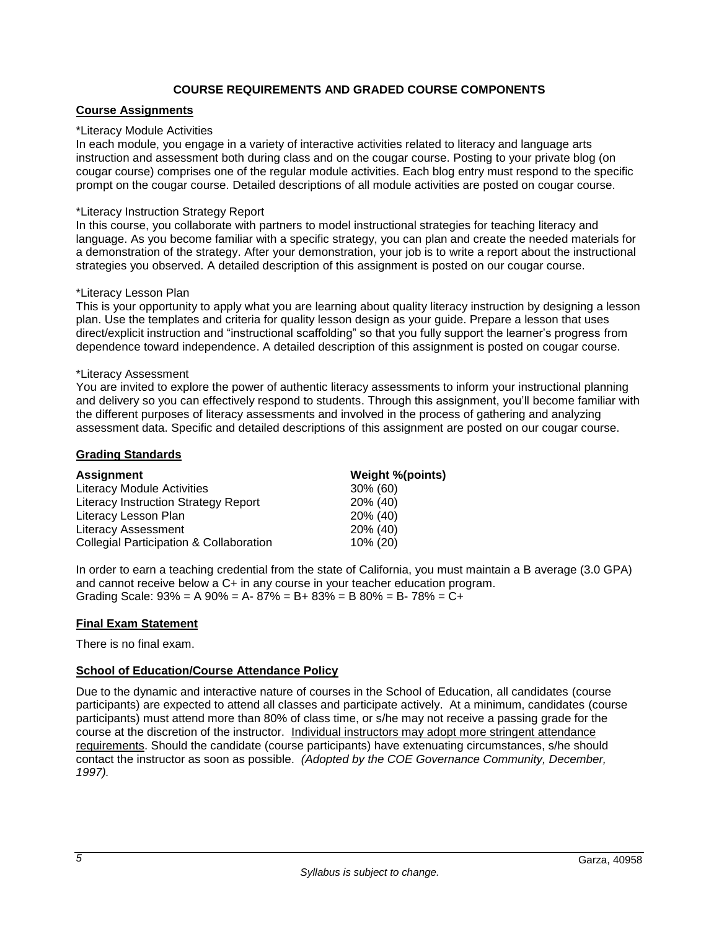# **COURSE REQUIREMENTS AND GRADED COURSE COMPONENTS**

# <span id="page-6-1"></span><span id="page-6-0"></span>**Course Assignments**

#### \*Literacy Module Activities

In each module, you engage in a variety of interactive activities related to literacy and language arts instruction and assessment both during class and on the cougar course. Posting to your private blog (on cougar course) comprises one of the regular module activities. Each blog entry must respond to the specific prompt on the cougar course. Detailed descriptions of all module activities are posted on cougar course.

### \*Literacy Instruction Strategy Report

In this course, you collaborate with partners to model instructional strategies for teaching literacy and language. As you become familiar with a specific strategy, you can plan and create the needed materials for a demonstration of the strategy. After your demonstration, your job is to write a report about the instructional strategies you observed. A detailed description of this assignment is posted on our cougar course.

### \*Literacy Lesson Plan

This is your opportunity to apply what you are learning about quality literacy instruction by designing a lesson plan. Use the templates and criteria for quality lesson design as your guide. Prepare a lesson that uses direct/explicit instruction and "instructional scaffolding" so that you fully support the learner's progress from dependence toward independence. A detailed description of this assignment is posted on cougar course.

#### \*Literacy Assessment

You are invited to explore the power of authentic literacy assessments to inform your instructional planning and delivery so you can effectively respond to students. Through this assignment, you'll become familiar with the different purposes of literacy assessments and involved in the process of gathering and analyzing assessment data. Specific and detailed descriptions of this assignment are posted on our cougar course.

### <span id="page-6-2"></span>**Grading Standards**

| <b>Assignment</b>                                  | Weight %(points) |  |
|----------------------------------------------------|------------------|--|
| <b>Literacy Module Activities</b>                  | 30% (60)         |  |
| Literacy Instruction Strategy Report               | 20% (40)         |  |
| Literacy Lesson Plan                               | 20% (40)         |  |
| <b>Literacy Assessment</b>                         | 20% (40)         |  |
| <b>Collegial Participation &amp; Collaboration</b> | 10% (20)         |  |

In order to earn a teaching credential from the state of California, you must maintain a B average (3.0 GPA) and cannot receive below a C+ in any course in your teacher education program. Grading Scale:  $93\% = A\,90\% = A - 87\% = B + 83\% = B\,80\% = B - 78\% = C +$ 

# **Final Exam Statement**

There is no final exam.

# <span id="page-6-3"></span>**School of Education/Course Attendance Policy**

<span id="page-6-4"></span>Due to the dynamic and interactive nature of courses in the School of Education, all candidates (course participants) are expected to attend all classes and participate actively. At a minimum, candidates (course participants) must attend more than 80% of class time, or s/he may not receive a passing grade for the course at the discretion of the instructor. Individual instructors may adopt more stringent attendance requirements. Should the candidate (course participants) have extenuating circumstances, s/he should contact the instructor as soon as possible. *(Adopted by the COE Governance Community, December, 1997).*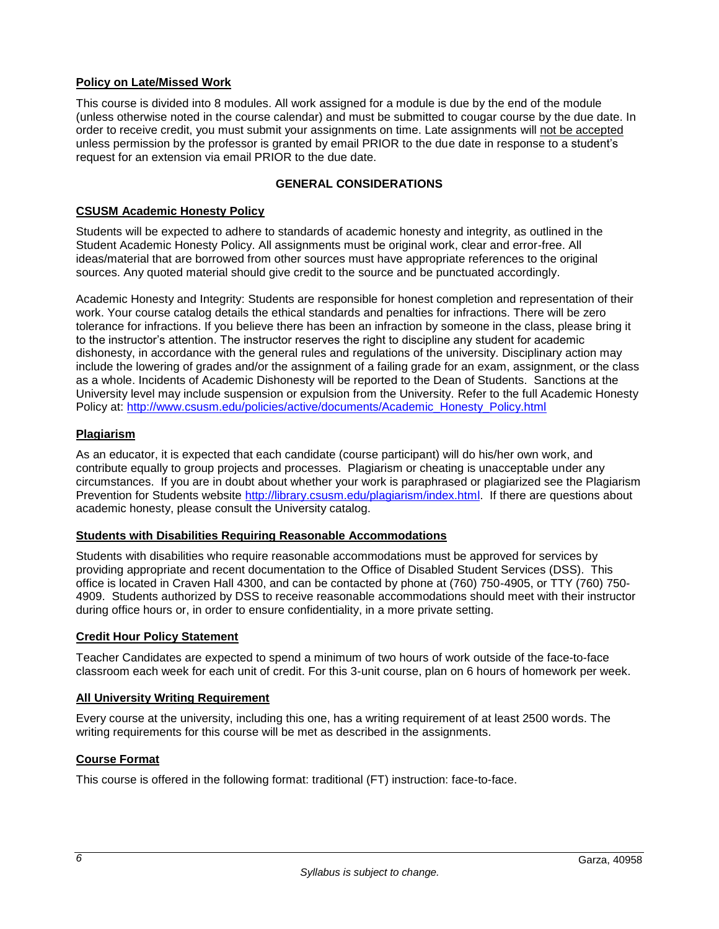# **Policy on Late/Missed Work**

This course is divided into 8 modules. All work assigned for a module is due by the end of the module (unless otherwise noted in the course calendar) and must be submitted to cougar course by the due date. In order to receive credit, you must submit your assignments on time. Late assignments will not be accepted unless permission by the professor is granted by email PRIOR to the due date in response to a student's request for an extension via email PRIOR to the due date.

# **GENERAL CONSIDERATIONS**

### <span id="page-7-0"></span>**CSUSM Academic Honesty Policy**

Students will be expected to adhere to standards of academic honesty and integrity, as outlined in the Student Academic Honesty Policy. All assignments must be original work, clear and error-free. All ideas/material that are borrowed from other sources must have appropriate references to the original sources. Any quoted material should give credit to the source and be punctuated accordingly.

Academic Honesty and Integrity: Students are responsible for honest completion and representation of their work. Your course catalog details the ethical standards and penalties for infractions. There will be zero tolerance for infractions. If you believe there has been an infraction by someone in the class, please bring it to the instructor's attention. The instructor reserves the right to discipline any student for academic dishonesty, in accordance with the general rules and regulations of the university. Disciplinary action may include the lowering of grades and/or the assignment of a failing grade for an exam, assignment, or the class as a whole. Incidents of Academic Dishonesty will be reported to the Dean of Students. Sanctions at the University level may include suspension or expulsion from the University. Refer to the full Academic Honesty Policy at: [http://www.csusm.edu/policies/active/documents/Academic\\_Honesty\\_Policy.html](http://www.csusm.edu/policies/active/documents/Academic_Honesty_Policy.html)

### <span id="page-7-1"></span>**Plagiarism**

As an educator, it is expected that each candidate (course participant) will do his/her own work, and contribute equally to group projects and processes. Plagiarism or cheating is unacceptable under any circumstances. If you are in doubt about whether your work is paraphrased or plagiarized see the Plagiarism Prevention for Students website [http://library.csusm.edu/plagiarism/index.html.](http://library.csusm.edu/plagiarism/index.html) If there are questions about academic honesty, please consult the University catalog.

# <span id="page-7-2"></span>**Students with Disabilities Requiring Reasonable Accommodations**

Students with disabilities who require reasonable accommodations must be approved for services by providing appropriate and recent documentation to the Office of Disabled Student Services (DSS). This office is located in Craven Hall 4300, and can be contacted by phone at (760) 750-4905, or TTY (760) 750- 4909. Students authorized by DSS to receive reasonable accommodations should meet with their instructor during office hours or, in order to ensure confidentiality, in a more private setting.

#### <span id="page-7-3"></span>**Credit Hour Policy Statement**

Teacher Candidates are expected to spend a minimum of two hours of work outside of the face-to-face classroom each week for each unit of credit. For this 3-unit course, plan on 6 hours of homework per week.

#### <span id="page-7-4"></span>**All University Writing Requirement**

Every course at the university, including this one, has a writing requirement of at least 2500 words. The writing requirements for this course will be met as described in the assignments.

# <span id="page-7-5"></span>**Course Format**

This course is offered in the following format: traditional (FT) instruction: face-to-face.